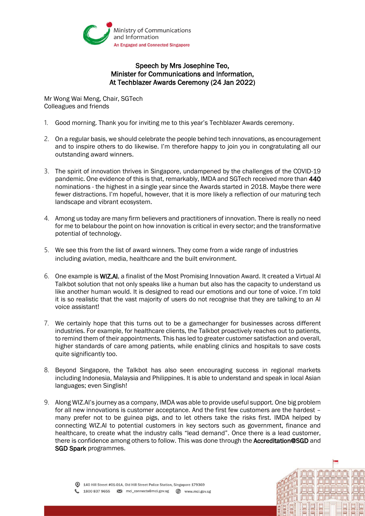

## Speech by Mrs Josephine Teo, Minister for Communications and Information, At Techblazer Awards Ceremony (24 Jan 2022)

Mr Wong Wai Meng, Chair, SGTech Colleagues and friends

- 1. Good morning. Thank you for inviting me to this year's Techblazer Awards ceremony.
- 2. On a regular basis, we should celebrate the people behind tech innovations, as encouragement and to inspire others to do likewise. I'm therefore happy to join you in congratulating all our outstanding award winners.
- 3. The spirit of innovation thrives in Singapore, undampened by the challenges of the COVID-19 pandemic. One evidence of this is that, remarkably, IMDA and SGTech received more than 440 nominations - the highest in a single year since the Awards started in 2018. Maybe there were fewer distractions. I'm hopeful, however, that it is more likely a reflection of our maturing tech landscape and vibrant ecosystem.
- 4. Among us today are many firm believers and practitioners of innovation. There is really no need for me to belabour the point on how innovation is critical in every sector; and the transformative potential of technology.
- 5. We see this from the list of award winners. They come from a wide range of industries including aviation, media, healthcare and the built environment.
- 6. One example is WIZ.AI, a finalist of the Most Promising Innovation Award. It created a Virtual AI Talkbot solution that not only speaks like a human but also has the capacity to understand us like another human would. It is designed to read our emotions and our tone of voice. I'm told it is so realistic that the vast majority of users do not recognise that they are talking to an AI voice assistant!
- 7. We certainly hope that this turns out to be a gamechanger for businesses across different industries. For example, for healthcare clients, the Talkbot proactively reaches out to patients, to remind them of their appointments. This has led to greater customer satisfaction and overall, higher standards of care among patients, while enabling clinics and hospitals to save costs quite significantly too.
- 8. Beyond Singapore, the Talkbot has also seen encouraging success in regional markets including Indonesia, Malaysia and Philippines. It is able to understand and speak in local Asian languages; even Singlish!
- 9. Along WIZ.AI's journey as a company, IMDA was able to provide useful support. One big problem for all new innovations is customer acceptance. And the first few customers are the hardest – many prefer not to be guinea pigs, and to let others take the risks first. IMDA helped by connecting WIZ.AI to potential customers in key sectors such as government, finance and healthcare, to create what the industry calls "lead demand". Once there is a lead customer, there is confidence among others to follow. This was done through the Accreditation@SGD and SGD Spark programmes.

**il Thirting**